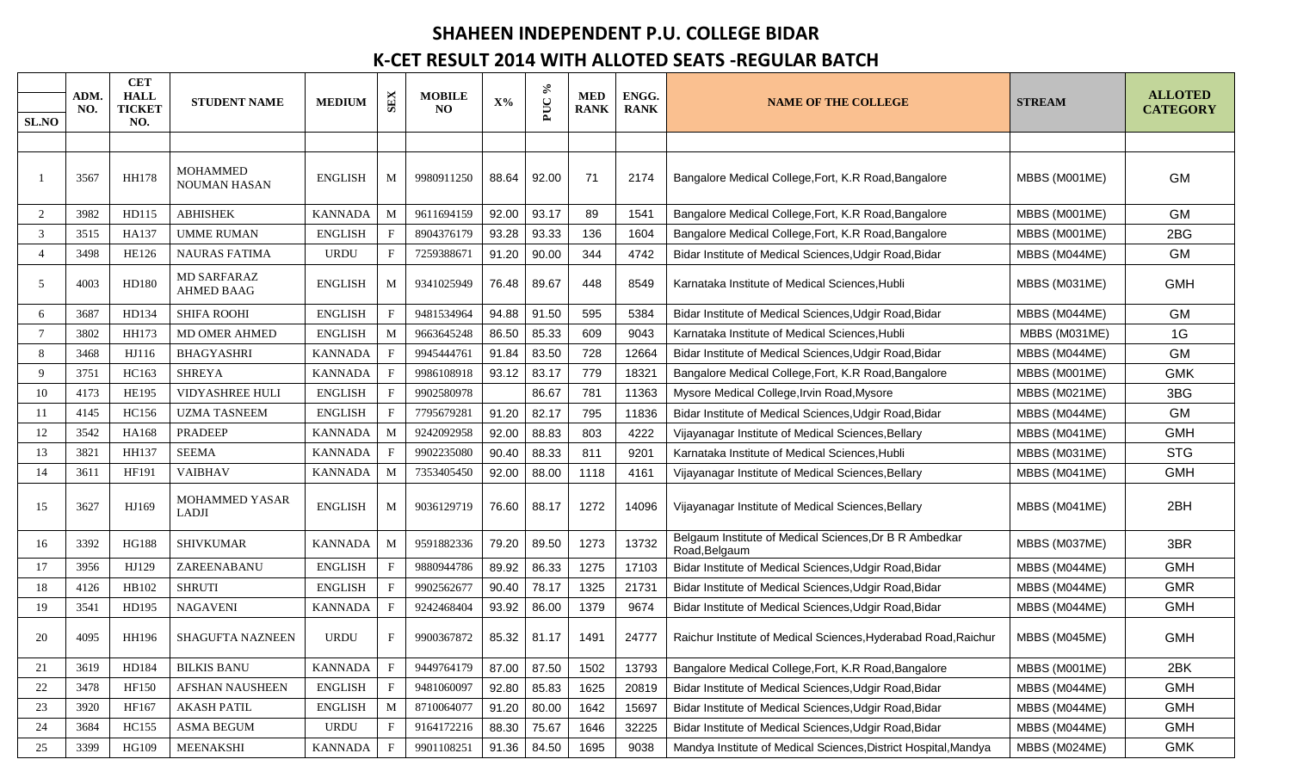## **SHAHEEN INDEPENDENT P.U. COLLEGE BIDAR**

## **K-CET RESULT 2014 WITH ALLOTED SEATS -REGULAR BATCH**

| SL.NO          | ADM.<br>NO. | <b>CET</b><br><b>HALL</b><br><b>TICKET</b><br>NO. | <b>STUDENT NAME</b>                    | <b>MEDIUM</b>  | <b>SEX</b>   | <b>MOBILE</b><br>NO. | $X\%$ | $\approx$<br>PUC | <b>MED</b><br><b>RANK</b> | ENGG.<br><b>RANK</b> | <b>NAME OF THE COLLEGE</b>                                              | <b>STREAM</b> | <b>ALLOTED</b><br><b>CATEGORY</b> |
|----------------|-------------|---------------------------------------------------|----------------------------------------|----------------|--------------|----------------------|-------|------------------|---------------------------|----------------------|-------------------------------------------------------------------------|---------------|-----------------------------------|
|                |             |                                                   |                                        |                |              |                      |       |                  |                           |                      |                                                                         |               |                                   |
|                | 3567        | <b>HH178</b>                                      | <b>MOHAMMED</b><br><b>NOUMAN HASAN</b> | <b>ENGLISH</b> | M            | 9980911250           | 88.64 | 92.00            | 71                        | 2174                 | Bangalore Medical College, Fort, K.R Road, Bangalore                    | MBBS (M001ME) | <b>GM</b>                         |
| 2              | 3982        | HD115                                             | <b>ABHISHEK</b>                        | <b>KANNADA</b> | M            | 9611694159           | 92.00 | 93.17            | 89                        | 1541                 | Bangalore Medical College, Fort, K.R Road, Bangalore                    | MBBS (M001ME) | <b>GM</b>                         |
| 3              | 3515        | HA137                                             | <b>UMME RUMAN</b>                      | <b>ENGLISH</b> | F            | 8904376179           | 93.28 | 93.33            | 136                       | 1604                 | Bangalore Medical College, Fort, K.R Road, Bangalore                    | MBBS (M001ME) | 2BG                               |
| $\overline{4}$ | 3498        | <b>HE126</b>                                      | <b>NAURAS FATIMA</b>                   | <b>URDU</b>    | F            | 7259388671           | 91.20 | 90.00            | 344                       | 4742                 | Bidar Institute of Medical Sciences, Udgir Road, Bidar                  | MBBS (M044ME) | <b>GM</b>                         |
| 5              | 4003        | HD180                                             | MD SARFARAZ<br><b>AHMED BAAG</b>       | <b>ENGLISH</b> | M            | 9341025949           | 76.48 | 89.67            | 448                       | 8549                 | Karnataka Institute of Medical Sciences, Hubli                          | MBBS (M031ME) | <b>GMH</b>                        |
| 6              | 3687        | HD134                                             | <b>SHIFA ROOHI</b>                     | <b>ENGLISH</b> | $\mathbf{F}$ | 9481534964           | 94.88 | 91.50            | 595                       | 5384                 | Bidar Institute of Medical Sciences, Udgir Road, Bidar                  | MBBS (M044ME) | GM                                |
| $\overline{7}$ | 3802        | HH173                                             | MD OMER AHMED                          | <b>ENGLISH</b> | M            | 9663645248           | 86.50 | 85.33            | 609                       | 9043                 | Karnataka Institute of Medical Sciences. Hubli                          | MBBS (M031ME) | 1G                                |
| 8              | 3468        | HJ116                                             | <b>BHAGYASHRI</b>                      | <b>KANNADA</b> | F            | 9945444761           | 91.84 | 83.50            | 728                       | 12664                | Bidar Institute of Medical Sciences, Udgir Road, Bidar                  | MBBS (M044ME) | <b>GM</b>                         |
| 9              | 3751        | HC163                                             | <b>SHREYA</b>                          | <b>KANNADA</b> | F            | 9986108918           | 93.12 | 83.17            | 779                       | 18321                | Bangalore Medical College, Fort, K.R Road, Bangalore                    | MBBS (M001ME) | <b>GMK</b>                        |
| 10             | 4173        | <b>HE195</b>                                      | <b>VIDYASHREE HULI</b>                 | <b>ENGLISH</b> | $\mathbf F$  | 9902580978           |       | 86.67            | 781                       | 11363                | Mysore Medical College, Irvin Road, Mysore                              | MBBS (M021ME) | 3BG                               |
| -11            | 4145        | HC156                                             | <b>UZMA TASNEEM</b>                    | <b>ENGLISH</b> | F            | 7795679281           | 91.20 | 82.17            | 795                       | 11836                | Bidar Institute of Medical Sciences, Udgir Road, Bidar                  | MBBS (M044ME) | <b>GM</b>                         |
| 12             | 3542        | HA168                                             | <b>PRADEEP</b>                         | <b>KANNADA</b> | M            | 9242092958           | 92.00 | 88.83            | 803                       | 4222                 | Vijayanagar Institute of Medical Sciences, Bellary                      | MBBS (M041ME) | <b>GMH</b>                        |
| 13             | 3821        | HH137                                             | <b>SEEMA</b>                           | <b>KANNADA</b> | $F_{\rm}$    | 9902235080           | 90.40 | 88.33            | 811                       | 9201                 | Karnataka Institute of Medical Sciences, Hubli                          | MBBS (M031ME) | <b>STG</b>                        |
| 14             | 3611        | HF191                                             | <b>VAIBHAV</b>                         | <b>KANNADA</b> | M            | 7353405450           | 92.00 | 88.00            | 1118                      | 4161                 | Vijayanagar Institute of Medical Sciences, Bellary                      | MBBS (M041ME) | <b>GMH</b>                        |
| 15             | 3627        | HJ169                                             | <b>MOHAMMED YASAR</b><br><b>LADJI</b>  | <b>ENGLISH</b> | M            | 9036129719           | 76.60 | 88.17            | 1272                      | 14096                | Vijayanagar Institute of Medical Sciences, Bellary                      | MBBS (M041ME) | 2BH                               |
| 16             | 3392        | <b>HG188</b>                                      | <b>SHIVKUMAR</b>                       | <b>KANNADA</b> | M            | 9591882336           | 79.20 | 89.50            | 1273                      | 13732                | Belgaum Institute of Medical Sciences, Dr B R Ambedkar<br>Road, Belgaum | MBBS (M037ME) | 3BR                               |
| 17             | 3956        | HJ129                                             | ZAREENABANU                            | <b>ENGLISH</b> | F            | 9880944786           | 89.92 | 86.33            | 1275                      | 17103                | Bidar Institute of Medical Sciences, Udgir Road, Bidar                  | MBBS (M044ME) | <b>GMH</b>                        |
| 18             | 4126        | HB102                                             | <b>SHRUTI</b>                          | <b>ENGLISH</b> | F            | 9902562677           | 90.40 | 78.17            | 1325                      | 21731                | Bidar Institute of Medical Sciences, Udgir Road, Bidar                  | MBBS (M044ME) | <b>GMR</b>                        |
| 19             | 3541        | HD195                                             | <b>NAGAVENI</b>                        | <b>KANNADA</b> | F            | 9242468404           | 93.92 | 86.00            | 1379                      | 9674                 | Bidar Institute of Medical Sciences, Udgir Road, Bidar                  | MBBS (M044ME) | <b>GMH</b>                        |
| 20             | 4095        | HH196                                             | <b>SHAGUFTA NAZNEEN</b>                | <b>URDU</b>    | F            | 9900367872           | 85.32 | 81.17            | 1491                      | 24777                | Raichur Institute of Medical Sciences, Hyderabad Road, Raichur          | MBBS (M045ME) | <b>GMH</b>                        |
| 21             | 3619        | HD184                                             | <b>BILKIS BANU</b>                     | <b>KANNADA</b> | $\mathbf{F}$ | 9449764179           | 87.00 | 87.50            | 1502                      | 13793                | Bangalore Medical College, Fort, K.R Road, Bangalore                    | MBBS (M001ME) | 2BK                               |
| 22             | 3478        | HF150                                             | AFSHAN NAUSHEEN                        | <b>ENGLISH</b> | F            | 9481060097           | 92.80 | 85.83            | 1625                      | 20819                | Bidar Institute of Medical Sciences, Udgir Road, Bidar                  | MBBS (M044ME) | <b>GMH</b>                        |
| 23             | 3920        | HF167                                             | <b>AKASH PATIL</b>                     | <b>ENGLISH</b> | M            | 8710064077           | 91.20 | 80.00            | 1642                      | 15697                | Bidar Institute of Medical Sciences, Udgir Road, Bidar                  | MBBS (M044ME) | <b>GMH</b>                        |
| 24             | 3684        | <b>HC155</b>                                      | <b>ASMA BEGUM</b>                      | <b>URDU</b>    | F            | 9164172216           | 88.30 | 75.67            | 1646                      | 32225                | Bidar Institute of Medical Sciences, Udgir Road, Bidar                  | MBBS (M044ME) | <b>GMH</b>                        |
| 25             | 3399        | HG109                                             | MEENAKSHI                              | <b>KANNADA</b> | F            | 9901108251           | 91.36 | 84.50            | 1695                      | 9038                 | Mandya Institute of Medical Sciences, District Hospital, Mandya         | MBBS (M024ME) | <b>GMK</b>                        |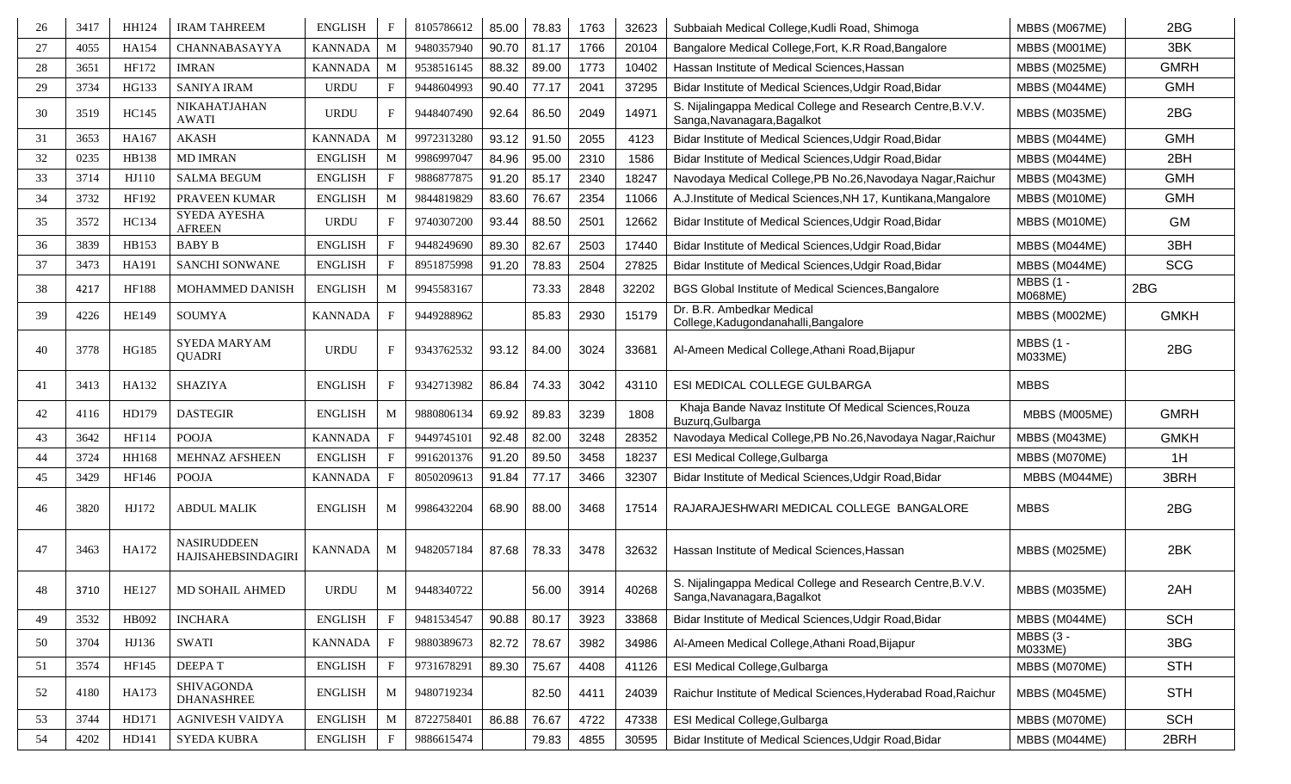| 26 | 3417 | HH124        | <b>IRAM TAHREEM</b>                      | <b>ENGLISH</b> | $_{\rm F}$   | 8105786612 | 85.00 | 78.83 | 1763 | 32623 | Subbaiah Medical College, Kudli Road, Shimoga                                              | MBBS (M067ME)               | 2BG         |
|----|------|--------------|------------------------------------------|----------------|--------------|------------|-------|-------|------|-------|--------------------------------------------------------------------------------------------|-----------------------------|-------------|
| 27 | 4055 | HA154        | CHANNABASAYYA                            | <b>KANNADA</b> | M            | 9480357940 | 90.70 | 81.17 | 1766 | 20104 | Bangalore Medical College, Fort, K.R Road, Bangalore                                       | MBBS (M001ME)               | 3BK         |
| 28 | 3651 | HF172        | <b>IMRAN</b>                             | <b>KANNADA</b> | M            | 9538516145 | 88.32 | 89.00 | 1773 | 10402 | Hassan Institute of Medical Sciences, Hassan                                               | MBBS (M025ME)               | <b>GMRH</b> |
| 29 | 3734 | HG133        | <b>SANIYA IRAM</b>                       | <b>URDU</b>    |              | 9448604993 | 90.40 | 77.17 | 2041 | 37295 | Bidar Institute of Medical Sciences, Udgir Road, Bidar                                     | MBBS (M044ME)               | <b>GMH</b>  |
| 30 | 3519 | HC145        | NIKAHATJAHAN<br><b>AWATI</b>             | <b>URDU</b>    | F            | 9448407490 | 92.64 | 86.50 | 2049 | 14971 | S. Nijalingappa Medical College and Research Centre, B.V.V.<br>Sanga, Navanagara, Bagalkot | MBBS (M035ME)               | 2BG         |
| 31 | 3653 | HA167        | <b>AKASH</b>                             | <b>KANNADA</b> | M            | 9972313280 | 93.12 | 91.50 | 2055 | 4123  | Bidar Institute of Medical Sciences, Udgir Road, Bidar                                     | MBBS (M044ME)               | <b>GMH</b>  |
| 32 | 0235 | HB138        | <b>MD IMRAN</b>                          | <b>ENGLISH</b> | M            | 9986997047 | 84.96 | 95.00 | 2310 | 1586  | Bidar Institute of Medical Sciences, Udgir Road, Bidar                                     | MBBS (M044ME)               | 2BH         |
| 33 | 3714 | HJ110        | <b>SALMA BEGUM</b>                       | <b>ENGLISH</b> | $\mathbf{F}$ | 9886877875 | 91.20 | 85.17 | 2340 | 18247 | Navodaya Medical College, PB No.26, Navodaya Nagar, Raichur                                | MBBS (M043ME)               | <b>GMH</b>  |
| 34 | 3732 | HF192        | PRAVEEN KUMAR                            | <b>ENGLISH</b> | M            | 9844819829 | 83.60 | 76.67 | 2354 | 11066 | A.J.Institute of Medical Sciences, NH 17, Kuntikana, Mangalore                             | MBBS (M010ME)               | <b>GMH</b>  |
| 35 | 3572 | <b>HC134</b> | SYEDA AYESHA<br><b>AFREEN</b>            | <b>URDU</b>    | F            | 9740307200 | 93.44 | 88.50 | 2501 | 12662 | Bidar Institute of Medical Sciences, Udgir Road, Bidar                                     | MBBS (M010ME)               | GM          |
| 36 | 3839 | HB153        | <b>BABY B</b>                            | <b>ENGLISH</b> |              | 9448249690 | 89.30 | 82.67 | 2503 | 17440 | Bidar Institute of Medical Sciences, Udgir Road, Bidar                                     | MBBS (M044ME)               | 3BH         |
| 37 | 3473 | HA191        | SANCHI SONWANE                           | <b>ENGLISH</b> |              | 8951875998 | 91.20 | 78.83 | 2504 | 27825 | Bidar Institute of Medical Sciences, Udgir Road, Bidar                                     | MBBS (M044ME)               | <b>SCG</b>  |
| 38 | 4217 | <b>HF188</b> | MOHAMMED DANISH                          | <b>ENGLISH</b> | M            | 9945583167 |       | 73.33 | 2848 | 32202 | BGS Global Institute of Medical Sciences, Bangalore                                        | <b>MBBS (1 -</b><br>M068ME) | 2BG         |
| 39 | 4226 | HE149        | <b>SOUMYA</b>                            | <b>KANNADA</b> | $\mathbf{F}$ | 9449288962 |       | 85.83 | 2930 | 15179 | Dr. B.R. Ambedkar Medical<br>College, Kadugondanahalli, Bangalore                          | MBBS (M002ME)               | <b>GMKH</b> |
| 40 | 3778 | HG185        | <b>SYEDA MARYAM</b><br><b>QUADRI</b>     | <b>URDU</b>    | F            | 9343762532 | 93.12 | 84.00 | 3024 | 33681 | Al-Ameen Medical College, Athani Road, Bijapur                                             | <b>MBBS (1 -</b><br>M033ME) | 2BG         |
| 41 | 3413 | HA132        | <b>SHAZIYA</b>                           | <b>ENGLISH</b> | $\mathbf{F}$ | 9342713982 | 86.84 | 74.33 | 3042 | 43110 | ESI MEDICAL COLLEGE GULBARGA                                                               | <b>MBBS</b>                 |             |
| 42 | 4116 | HD179        | <b>DASTEGIR</b>                          | <b>ENGLISH</b> | M            | 9880806134 | 69.92 | 89.83 | 3239 | 1808  | Khaja Bande Navaz Institute Of Medical Sciences, Rouza<br>Buzurq, Gulbarga                 | MBBS (M005ME)               | <b>GMRH</b> |
| 43 | 3642 | HF114        | <b>POOJA</b>                             | <b>KANNADA</b> |              | 9449745101 | 92.48 | 82.00 | 3248 | 28352 | Navodaya Medical College, PB No.26, Navodaya Nagar, Raichur                                | MBBS (M043ME)               | <b>GMKH</b> |
| 44 | 3724 | HH168        | MEHNAZ AFSHEEN                           | <b>ENGLISH</b> |              | 9916201376 | 91.20 | 89.50 | 3458 | 18237 | ESI Medical College, Gulbarga                                                              | MBBS (M070ME)               | 1H          |
| 45 | 3429 | HF146        | <b>POOJA</b>                             | <b>KANNADA</b> | F            | 8050209613 | 91.84 | 77.17 | 3466 | 32307 | Bidar Institute of Medical Sciences, Udgir Road, Bidar                                     | MBBS (M044ME)               | 3BRH        |
| 46 | 3820 | HJ172        | <b>ABDUL MALIK</b>                       | <b>ENGLISH</b> | M            | 9986432204 | 68.90 | 88.00 | 3468 | 17514 | RAJARAJESHWARI MEDICAL COLLEGE BANGALORE                                                   | <b>MBBS</b>                 | 2BG         |
| 47 | 3463 | HA172        | <b>NASIRUDDEEN</b><br>HAJISAHEBSINDAGIRI | <b>KANNADA</b> | M            | 9482057184 | 87.68 | 78.33 | 3478 | 32632 | Hassan Institute of Medical Sciences, Hassan                                               | MBBS (M025ME)               | 2BK         |
| 48 | 3710 | HE127        | MD SOHAIL AHMED                          | <b>URDU</b>    | M            | 9448340722 |       | 56.00 | 3914 | 40268 | S. Nijalingappa Medical College and Research Centre, B.V.V.<br>Sanga, Navanagara, Bagalkot | MBBS (M035ME)               | 2AH         |
| 49 | 3532 | HB092        | <b>INCHARA</b>                           | <b>ENGLISH</b> | $_{\rm F}$   | 9481534547 | 90.88 | 80.17 | 3923 | 33868 | Bidar Institute of Medical Sciences, Udgir Road, Bidar                                     | MBBS (M044ME)               | <b>SCH</b>  |
| 50 | 3704 | HJ136        | <b>SWATI</b>                             | <b>KANNADA</b> | $\mathbf{F}$ | 9880389673 | 82.72 | 78.67 | 3982 | 34986 | Al-Ameen Medical College, Athani Road, Bijapur                                             | MBBS (3 -<br>M033ME)        | 3BG         |
| 51 | 3574 | HF145        | <b>DEEPAT</b>                            | <b>ENGLISH</b> | $\mathbf{F}$ | 9731678291 | 89.30 | 75.67 | 4408 | 41126 | ESI Medical College, Gulbarga                                                              | MBBS (M070ME)               | <b>STH</b>  |
| 52 | 4180 | HA173        | SHIVAGONDA<br><b>DHANASHREE</b>          | <b>ENGLISH</b> | M            | 9480719234 |       | 82.50 | 4411 | 24039 | Raichur Institute of Medical Sciences, Hyderabad Road, Raichur                             | MBBS (M045ME)               | <b>STH</b>  |
| 53 | 3744 | HD171        | <b>AGNIVESH VAIDYA</b>                   | <b>ENGLISH</b> | M            | 8722758401 | 86.88 | 76.67 | 4722 | 47338 | ESI Medical College, Gulbarga                                                              | MBBS (M070ME)               | <b>SCH</b>  |
| 54 | 4202 | HD141        | SYEDA KUBRA                              | <b>ENGLISH</b> | $\mathbf{F}$ | 9886615474 |       | 79.83 | 4855 | 30595 | Bidar Institute of Medical Sciences, Udgir Road, Bidar                                     | MBBS (M044ME)               | 2BRH        |